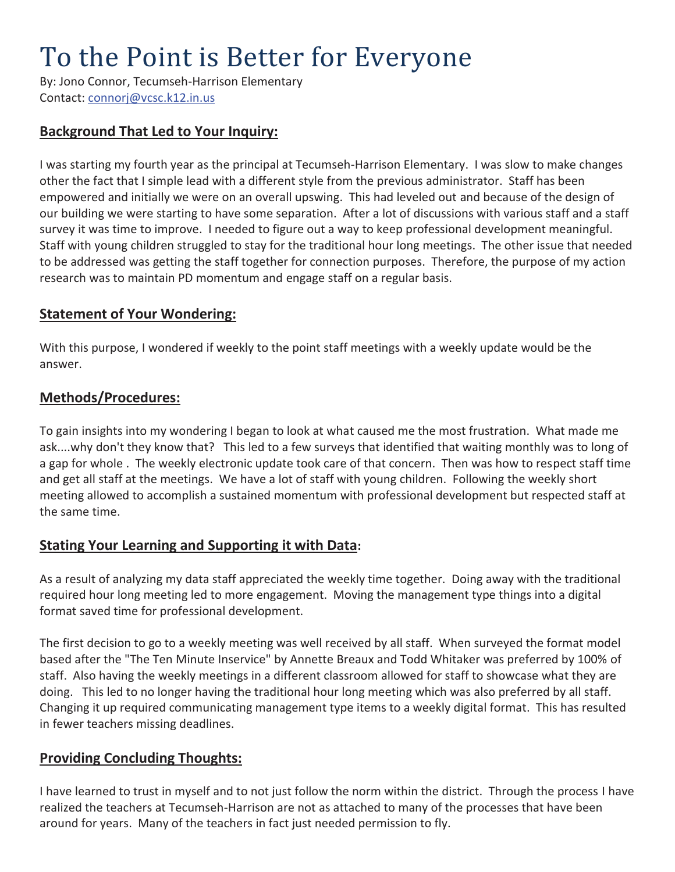# To the Point is Better for Everyone

By: Jono Connor, Tecumseh-Harrison Elementary Contact: connorj@vcsc.k12.in.us

### **Background That Led to Your Inquiry:**

I was starting my fourth year as the principal at Tecumseh-Harrison Elementary. I was slow to make changes other the fact that I simple lead with a different style from the previous administrator. Staff has been empowered and initially we were on an overall upswing. This had leveled out and because of the design of our building we were starting to have some separation. After a lot of discussions with various staff and a staff survey it was time to improve. I needed to figure out a way to keep professional development meaningful. Staff with young children struggled to stay for the traditional hour long meetings. The other issue that needed to be addressed was getting the staff together for connection purposes. Therefore, the purpose of my action research was to maintain PD momentum and engage staff on a regular basis.

#### **Statement of Your Wondering:**

With this purpose, I wondered if weekly to the point staff meetings with a weekly update would be the answer.

#### **Methods/Procedures:**

To gain insights into my wondering I began to look at what caused me the most frustration. What made me ask....why don't they know that? This led to a few surveys that identified that waiting monthly was to long of a gap for whole . The weekly electronic update took care of that concern. Then was how to respect staff time and get all staff at the meetings. We have a lot of staff with young children. Following the weekly short meeting allowed to accomplish a sustained momentum with professional development but respected staff at the same time.

#### **Stating Your Learning and Supporting it with Data:**

As a result of analyzing my data staff appreciated the weekly time together. Doing away with the traditional required hour long meeting led to more engagement. Moving the management type things into a digital format saved time for professional development.

The first decision to go to a weekly meeting was well received by all staff. When surveyed the format model based after the "The Ten Minute Inservice" by Annette Breaux and Todd Whitaker was preferred by 100% of staff. Also having the weekly meetings in a different classroom allowed for staff to showcase what they are doing. This led to no longer having the traditional hour long meeting which was also preferred by all staff. Changing it up required communicating management type items to a weekly digital format. This has resulted in fewer teachers missing deadlines.

#### **Providing Concluding Thoughts:**

I have learned to trust in myself and to not just follow the norm within the district. Through the process I have realized the teachers at Tecumseh-Harrison are not as attached to many of the processes that have been around for years. Many of the teachers in fact just needed permission to fly.